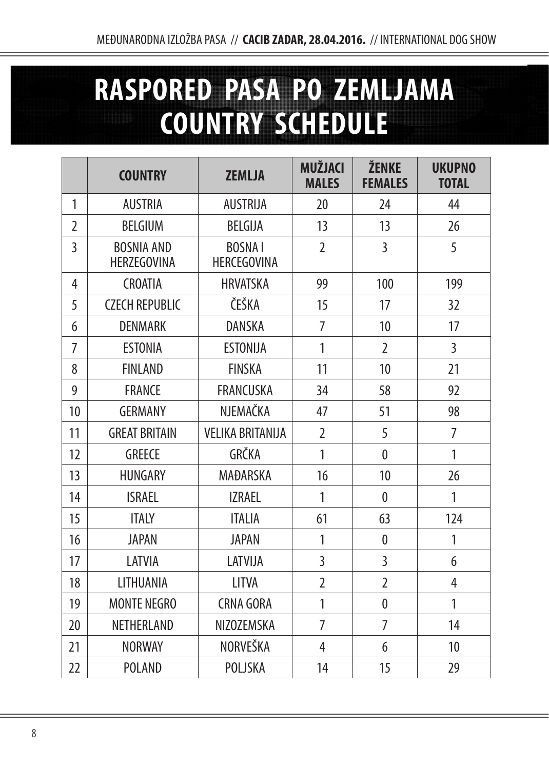## **RASPORED PASA PO ZEMLJAMA COUNTRY SCHEDULE**

|                | <b>COUNTRY</b>                          | <b>ZEMLJA</b>                       | <b>MUŽJACI</b><br><b>MALES</b> | ŽENKE<br><b>FEMALES</b> | <b>UKUPNO</b><br><b>TOTAL</b> |
|----------------|-----------------------------------------|-------------------------------------|--------------------------------|-------------------------|-------------------------------|
| 1              | <b>AUSTRIA</b>                          | <b>AUSTRIJA</b>                     | 20                             | 24                      | 44                            |
| $\overline{2}$ | <b>BELGIUM</b>                          | <b>BELGIJA</b>                      | 13                             | 13                      | 26                            |
| $\overline{3}$ | <b>BOSNIA AND</b><br><b>HERZEGOVINA</b> | <b>BOSNAI</b><br><b>HERCEGOVINA</b> | $\overline{2}$                 | $\overline{3}$          | 5                             |
| 4              | <b>CROATIA</b>                          | <b>HRVATSKA</b>                     | 99                             | 100                     | 199                           |
| 5              | <b>CZECH REPUBLIC</b>                   | ČEŠKA                               | 15                             | 17                      | 32                            |
| 6              | <b>DENMARK</b>                          | <b>DANSKA</b>                       | $\overline{7}$                 | 10                      | 17                            |
| 7              | <b>ESTONIA</b>                          | <b>ESTONIJA</b>                     | 1                              | $\overline{2}$          | $\overline{3}$                |
| 8              | <b>FINLAND</b>                          | <b>FINSKA</b>                       | 11                             | 10                      | 21                            |
| 9              | <b>FRANCE</b>                           | <b>FRANCUSKA</b>                    | 34                             | 58                      | 92                            |
| 10             | <b>GERMANY</b>                          | NJEMAČKA                            | 47                             | 51                      | 98                            |
| 11             | <b>GREAT BRITAIN</b>                    | <b>VELIKA BRITANIJA</b>             | $\overline{2}$                 | 5                       | 7                             |
| 12             | <b>GREECE</b>                           | GRČKA                               | 1                              | $\mathbf 0$             | 1                             |
| 13             | HUNGARY                                 | MAĐARSKA                            | 16                             | 10                      | 26                            |
| 14             | <b>ISRAEL</b>                           | <b>IZRAEL</b>                       | 1                              | 0                       | 1                             |
| 15             | <b>ITALY</b>                            | <b>ITALIA</b>                       | 61                             | 63                      | 124                           |
| 16             | <b>JAPAN</b>                            | <b>JAPAN</b>                        | 1                              | $\mathbf 0$             | 1                             |
| 17             | LATVIA                                  | LATVIJA                             | $\overline{3}$                 | $\overline{3}$          | 6                             |
| 18             | LITHUANIA                               | <b>LITVA</b>                        | $\overline{2}$                 | $\overline{2}$          | 4                             |
| 19             | <b>MONTE NEGRO</b>                      | <b>CRNA GORA</b>                    | 1                              | $\overline{0}$          | $\overline{1}$                |
| 20             | NETHERLAND                              | <b>NIZOZEMSKA</b>                   | $\overline{7}$                 | 7                       | 14                            |
| 21             | <b>NORWAY</b>                           | NORVEŠKA                            | $\overline{4}$                 | 6                       | 10                            |
| 22             | <b>POLAND</b>                           | POLJSKA                             | 14                             | 15                      | 29                            |